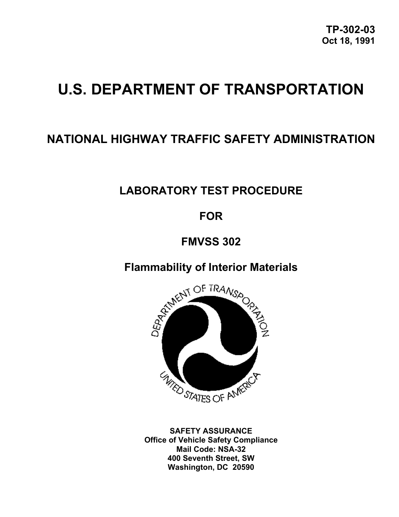**TP-302-03 Oct 18, 1991**

# **U.S. DEPARTMENT OF TRANSPORTATION**

# **NATIONAL HIGHWAY TRAFFIC SAFETY ADMINISTRATION**

# **LABORATORY TEST PROCEDURE**

# **FOR**

# **FMVSS 302**

# **Flammability of Interior Materials**



**SAFETY ASSURANCE Office of Vehicle Safety Compliance Mail Code: NSA-32 400 Seventh Street, SW Washington, DC 20590**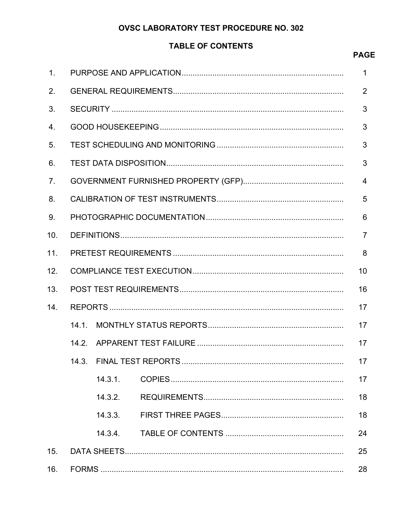# **OVSC LABORATORY TEST PROCEDURE NO. 302**

# **TABLE OF CONTENTS**

# **PAGE**

| $\mathbf{1}$ . |       |         |  |                 |  |  |
|----------------|-------|---------|--|-----------------|--|--|
| 2.             |       |         |  |                 |  |  |
| 3.             |       |         |  |                 |  |  |
| 4.             |       |         |  |                 |  |  |
| 5.             |       |         |  |                 |  |  |
| 6.             |       |         |  | 3               |  |  |
| 7 <sub>1</sub> |       |         |  | $\overline{4}$  |  |  |
| 8.             |       |         |  | 5               |  |  |
| 9.             |       |         |  | $6\phantom{1}6$ |  |  |
| 10.            |       |         |  | $\overline{7}$  |  |  |
| 11.            |       |         |  | 8               |  |  |
| 12.            |       |         |  | 10              |  |  |
| 13.            |       |         |  | 16              |  |  |
| 14.            |       |         |  | 17              |  |  |
|                | 14.1  |         |  | 17              |  |  |
|                | 14.2. |         |  | 17              |  |  |
|                | 14.3. |         |  | 17              |  |  |
|                |       | 14.3.1. |  | 17              |  |  |
|                |       | 14.3.2. |  | 18              |  |  |
|                |       | 14.3.3. |  | 18              |  |  |
|                |       | 14.3.4. |  | 24              |  |  |
| 15.            |       |         |  | 25              |  |  |
| 16.            |       |         |  | 28              |  |  |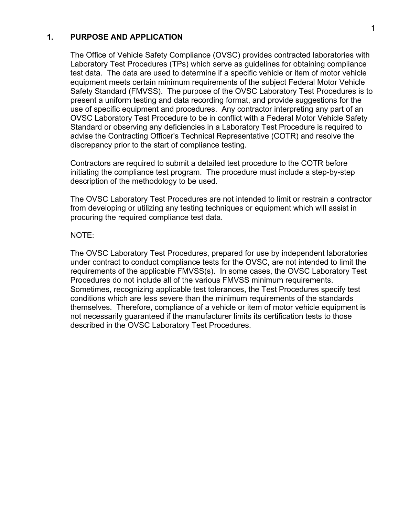#### **1. PURPOSE AND APPLICATION**

The Office of Vehicle Safety Compliance (OVSC) provides contracted laboratories with Laboratory Test Procedures (TPs) which serve as guidelines for obtaining compliance test data. The data are used to determine if a specific vehicle or item of motor vehicle equipment meets certain minimum requirements of the subject Federal Motor Vehicle Safety Standard (FMVSS). The purpose of the OVSC Laboratory Test Procedures is to present a uniform testing and data recording format, and provide suggestions for the use of specific equipment and procedures. Any contractor interpreting any part of an OVSC Laboratory Test Procedure to be in conflict with a Federal Motor Vehicle Safety Standard or observing any deficiencies in a Laboratory Test Procedure is required to advise the Contracting Officer's Technical Representative (COTR) and resolve the discrepancy prior to the start of compliance testing.

Contractors are required to submit a detailed test procedure to the COTR before initiating the compliance test program. The procedure must include a step-by-step description of the methodology to be used.

The OVSC Laboratory Test Procedures are not intended to limit or restrain a contractor from developing or utilizing any testing techniques or equipment which will assist in procuring the required compliance test data.

#### NOTE:

The OVSC Laboratory Test Procedures, prepared for use by independent laboratories under contract to conduct compliance tests for the OVSC, are not intended to limit the requirements of the applicable FMVSS(s). In some cases, the OVSC Laboratory Test Procedures do not include all of the various FMVSS minimum requirements. Sometimes, recognizing applicable test tolerances, the Test Procedures specify test conditions which are less severe than the minimum requirements of the standards themselves. Therefore, compliance of a vehicle or item of motor vehicle equipment is not necessarily guaranteed if the manufacturer limits its certification tests to those described in the OVSC Laboratory Test Procedures.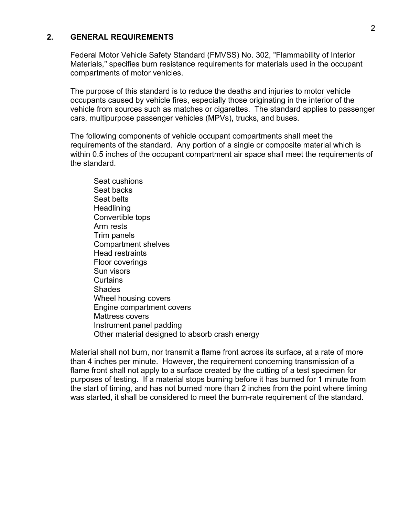#### **2. GENERAL REQUIREMENTS**

Federal Motor Vehicle Safety Standard (FMVSS) No. 302, "Flammability of Interior Materials," specifies burn resistance requirements for materials used in the occupant compartments of motor vehicles.

The purpose of this standard is to reduce the deaths and injuries to motor vehicle occupants caused by vehicle fires, especially those originating in the interior of the vehicle from sources such as matches or cigarettes. The standard applies to passenger cars, multipurpose passenger vehicles (MPVs), trucks, and buses.

The following components of vehicle occupant compartments shall meet the requirements of the standard. Any portion of a single or composite material which is within 0.5 inches of the occupant compartment air space shall meet the requirements of the standard.

 Seat cushions Seat backs Seat belts **Headlining**  Convertible tops Arm rests Trim panels Compartment shelves Head restraints Floor coverings Sun visors **Curtains**  Shades Wheel housing covers Engine compartment covers Mattress covers Instrument panel padding Other material designed to absorb crash energy

Material shall not burn, nor transmit a flame front across its surface, at a rate of more than 4 inches per minute. However, the requirement concerning transmission of a flame front shall not apply to a surface created by the cutting of a test specimen for purposes of testing. If a material stops burning before it has burned for 1 minute from the start of timing, and has not burned more than 2 inches from the point where timing was started, it shall be considered to meet the burn-rate requirement of the standard.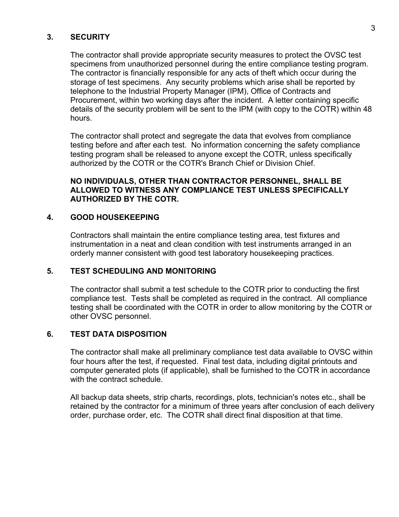#### **3. SECURITY**

The contractor shall provide appropriate security measures to protect the OVSC test specimens from unauthorized personnel during the entire compliance testing program. The contractor is financially responsible for any acts of theft which occur during the storage of test specimens. Any security problems which arise shall be reported by telephone to the Industrial Property Manager (IPM), Office of Contracts and Procurement, within two working days after the incident. A letter containing specific details of the security problem will be sent to the IPM (with copy to the COTR) within 48 hours.

The contractor shall protect and segregate the data that evolves from compliance testing before and after each test. No information concerning the safety compliance testing program shall be released to anyone except the COTR, unless specifically authorized by the COTR or the COTR's Branch Chief or Division Chief.

#### **NO INDIVIDUALS, OTHER THAN CONTRACTOR PERSONNEL, SHALL BE ALLOWED TO WITNESS ANY COMPLIANCE TEST UNLESS SPECIFICALLY AUTHORIZED BY THE COTR.**

#### **4. GOOD HOUSEKEEPING**

Contractors shall maintain the entire compliance testing area, test fixtures and instrumentation in a neat and clean condition with test instruments arranged in an orderly manner consistent with good test laboratory housekeeping practices.

#### **5. TEST SCHEDULING AND MONITORING**

The contractor shall submit a test schedule to the COTR prior to conducting the first compliance test. Tests shall be completed as required in the contract. All compliance testing shall be coordinated with the COTR in order to allow monitoring by the COTR or other OVSC personnel.

#### **6. TEST DATA DISPOSITION**

The contractor shall make all preliminary compliance test data available to OVSC within four hours after the test, if requested. Final test data, including digital printouts and computer generated plots (if applicable), shall be furnished to the COTR in accordance with the contract schedule.

All backup data sheets, strip charts, recordings, plots, technician's notes etc., shall be retained by the contractor for a minimum of three years after conclusion of each delivery order, purchase order, etc. The COTR shall direct final disposition at that time.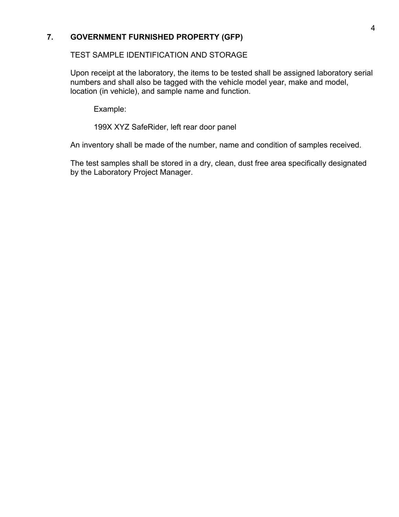## **7. GOVERNMENT FURNISHED PROPERTY (GFP)**

#### TEST SAMPLE IDENTIFICATION AND STORAGE

Upon receipt at the laboratory, the items to be tested shall be assigned laboratory serial numbers and shall also be tagged with the vehicle model year, make and model, location (in vehicle), and sample name and function.

Example:

199X XYZ SafeRider, left rear door panel

An inventory shall be made of the number, name and condition of samples received.

The test samples shall be stored in a dry, clean, dust free area specifically designated by the Laboratory Project Manager.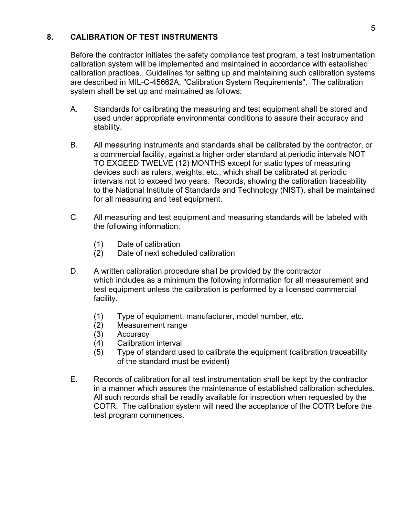#### **8. CALIBRATION OF TEST INSTRUMENTS**

Before the contractor initiates the safety compliance test program, a test instrumentation calibration system will be implemented and maintained in accordance with established calibration practices. Guidelines for setting up and maintaining such calibration systems are described in MIL-C-45662A, "Calibration System Requirements". The calibration system shall be set up and maintained as follows:

- A. Standards for calibrating the measuring and test equipment shall be stored and used under appropriate environmental conditions to assure their accuracy and stability.
- B. All measuring instruments and standards shall be calibrated by the contractor, or a commercial facility, against a higher order standard at periodic intervals NOT TO EXCEED TWELVE (12) MONTHS except for static types of measuring devices such as rulers, weights, etc., which shall be calibrated at periodic intervals not to exceed two years. Records, showing the calibration traceability to the National Institute of Standards and Technology (NIST), shall be maintained for all measuring and test equipment.
- C. All measuring and test equipment and measuring standards will be labeled with the following information:
	- (1) Date of calibration
	- (2) Date of next scheduled calibration
- D. A written calibration procedure shall be provided by the contractor which includes as a minimum the following information for all measurement and test equipment unless the calibration is performed by a licensed commercial facility.
	- (1) Type of equipment, manufacturer, model number, etc.
	- (2) Measurement range
	- (3) Accuracy
	- (4) Calibration interval
	- (5) Type of standard used to calibrate the equipment (calibration traceability of the standard must be evident)
- E. Records of calibration for all test instrumentation shall be kept by the contractor in a manner which assures the maintenance of established calibration schedules. All such records shall be readily available for inspection when requested by the COTR. The calibration system will need the acceptance of the COTR before the test program commences.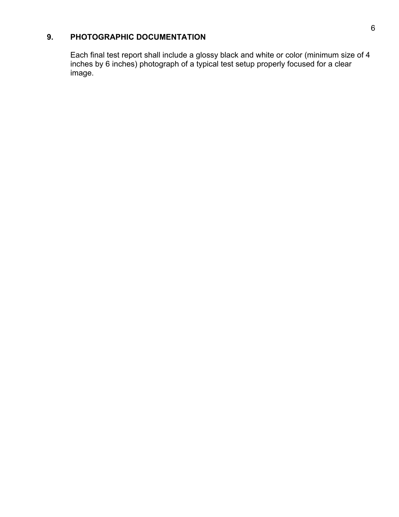# **9. PHOTOGRAPHIC DOCUMENTATION**

Each final test report shall include a glossy black and white or color (minimum size of 4 inches by 6 inches) photograph of a typical test setup properly focused for a clear image.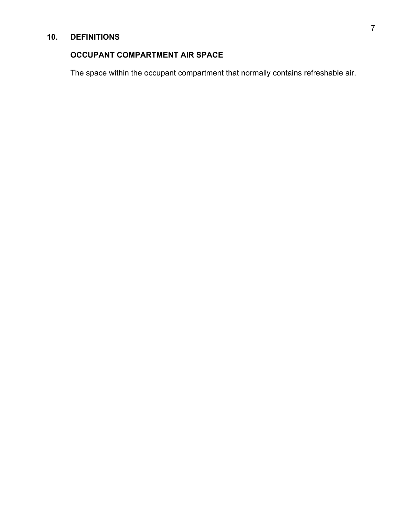# **10. DEFINITIONS**

# **OCCUPANT COMPARTMENT AIR SPACE**

The space within the occupant compartment that normally contains refreshable air.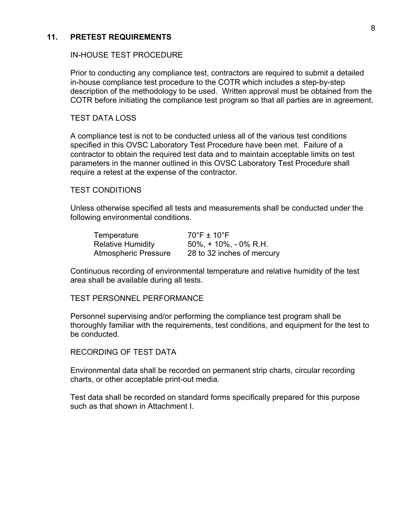#### **11. PRETEST REQUIREMENTS**

#### IN-HOUSE TEST PROCEDURE

Prior to conducting any compliance test, contractors are required to submit a detailed in-house compliance test procedure to the COTR which includes a step-by-step description of the methodology to be used. Written approval must be obtained from the COTR before initiating the compliance test program so that all parties are in agreement.

#### TEST DATA LOSS

A compliance test is not to be conducted unless all of the various test conditions specified in this OVSC Laboratory Test Procedure have been met. Failure of a contractor to obtain the required test data and to maintain acceptable limits on test parameters in the manner outlined in this OVSC Laboratory Test Procedure shall require a retest at the expense of the contractor.

#### TEST CONDITIONS

Unless otherwise specified all tests and measurements shall be conducted under the following environmental conditions.

| Temperature                 | $70^\circ$ F ± 10 $^\circ$ F |
|-----------------------------|------------------------------|
| <b>Relative Humidity</b>    | 50%, + 10%, - 0% R.H.        |
| <b>Atmospheric Pressure</b> | 28 to 32 inches of mercury   |

Continuous recording of environmental temperature and relative humidity of the test area shall be available during all tests.

TEST PERSONNEL PERFORMANCE

Personnel supervising and/or performing the compliance test program shall be thoroughly familiar with the requirements, test conditions, and equipment for the test to be conducted.

#### RECORDING OF TEST DATA

Environmental data shall be recorded on permanent strip charts, circular recording charts, or other acceptable print-out media.

Test data shall be recorded on standard forms specifically prepared for this purpose such as that shown in Attachment I.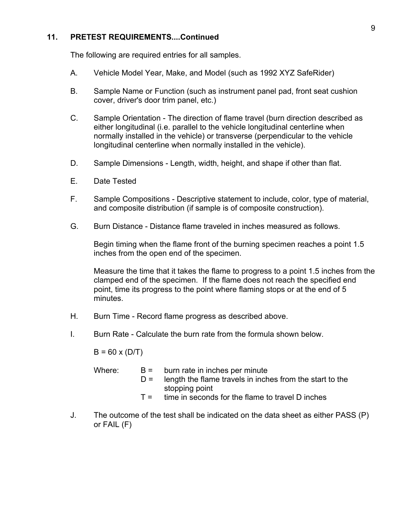#### **11. PRETEST REQUIREMENTS....Continued**

The following are required entries for all samples.

- A. Vehicle Model Year, Make, and Model (such as 1992 XYZ SafeRider)
- B. Sample Name or Function (such as instrument panel pad, front seat cushion cover, driver's door trim panel, etc.)
- C. Sample Orientation The direction of flame travel (burn direction described as either longitudinal (i.e. parallel to the vehicle longitudinal centerline when normally installed in the vehicle) or transverse (perpendicular to the vehicle longitudinal centerline when normally installed in the vehicle).
- D. Sample Dimensions Length, width, height, and shape if other than flat.
- E. Date Tested
- F. Sample Compositions Descriptive statement to include, color, type of material, and composite distribution (if sample is of composite construction).
- G. Burn Distance Distance flame traveled in inches measured as follows.

 Begin timing when the flame front of the burning specimen reaches a point 1.5 inches from the open end of the specimen.

 Measure the time that it takes the flame to progress to a point 1.5 inches from the clamped end of the specimen. If the flame does not reach the specified end point, time its progress to the point where flaming stops or at the end of 5 minutes.

- H. Burn Time Record flame progress as described above.
- I. Burn Rate Calculate the burn rate from the formula shown below.

 $B = 60 \times (D/T)$ 

| Where: | $D =$ | $B =$ burn rate in inches per minute<br>length the flame travels in inches from the start to the<br>stopping point<br>$T =$ time in seconds for the flame to travel D inches |
|--------|-------|------------------------------------------------------------------------------------------------------------------------------------------------------------------------------|
|        |       |                                                                                                                                                                              |
|        |       |                                                                                                                                                                              |

 J. The outcome of the test shall be indicated on the data sheet as either PASS (P) or FAIL (F)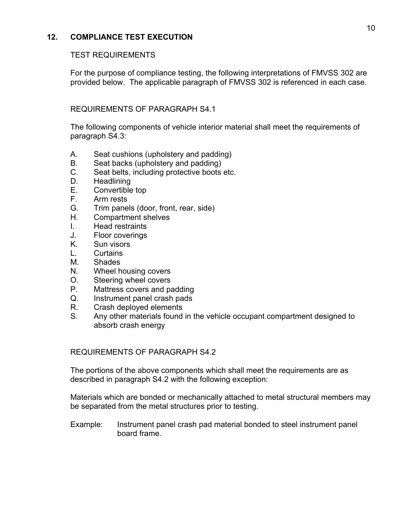## **12. COMPLIANCE TEST EXECUTION**

#### TEST REQUIREMENTS

For the purpose of compliance testing, the following interpretations of FMVSS 302 are provided below. The applicable paragraph of FMVSS 302 is referenced in each case.

#### REQUIREMENTS OF PARAGRAPH S4.1

The following components of vehicle interior material shall meet the requirements of paragraph S4.3:

- A. Seat cushions (upholstery and padding)
- B. Seat backs (upholstery and padding)
- C. Seat belts, including protective boots etc.
- D. Headlining
- E. Convertible top
- F. Arm rests
- G. Trim panels (door, front, rear, side)
- H. Compartment shelves
- I. Head restraints
- J. Floor coverings
- K. Sun visors
- L. Curtains
- M. Shades
- N. Wheel housing covers
- O. Steering wheel covers
- P. Mattress covers and padding
- Q. Instrument panel crash pads
- R. Crash deployed elements
- S. Any other materials found in the vehicle occupant compartment designed to absorb crash energy

#### REQUIREMENTS OF PARAGRAPH S4.2

The portions of the above components which shall meet the requirements are as described in paragraph S4.2 with the following exception:

Materials which are bonded or mechanically attached to metal structural members may be separated from the metal structures prior to testing.

Example: Instrument panel crash pad material bonded to steel instrument panel board frame.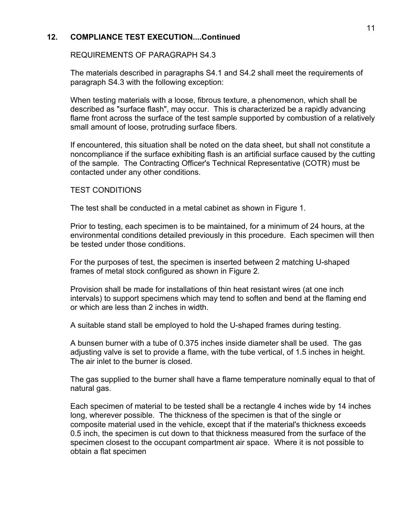#### **12. COMPLIANCE TEST EXECUTION....Continued**

#### REQUIREMENTS OF PARAGRAPH S4.3

The materials described in paragraphs S4.1 and S4.2 shall meet the requirements of paragraph S4.3 with the following exception:

When testing materials with a loose, fibrous texture, a phenomenon, which shall be described as "surface flash", may occur. This is characterized be a rapidly advancing flame front across the surface of the test sample supported by combustion of a relatively small amount of loose, protruding surface fibers.

If encountered, this situation shall be noted on the data sheet, but shall not constitute a noncompliance if the surface exhibiting flash is an artificial surface caused by the cutting of the sample. The Contracting Officer's Technical Representative (COTR) must be contacted under any other conditions.

#### TEST CONDITIONS

The test shall be conducted in a metal cabinet as shown in Figure 1.

Prior to testing, each specimen is to be maintained, for a minimum of 24 hours, at the environmental conditions detailed previously in this procedure. Each specimen will then be tested under those conditions.

For the purposes of test, the specimen is inserted between 2 matching U-shaped frames of metal stock configured as shown in Figure 2.

Provision shall be made for installations of thin heat resistant wires (at one inch intervals) to support specimens which may tend to soften and bend at the flaming end or which are less than 2 inches in width.

A suitable stand stall be employed to hold the U-shaped frames during testing.

A bunsen burner with a tube of 0.375 inches inside diameter shall be used. The gas adjusting valve is set to provide a flame, with the tube vertical, of 1.5 inches in height. The air inlet to the burner is closed.

The gas supplied to the burner shall have a flame temperature nominally equal to that of natural gas.

Each specimen of material to be tested shall be a rectangle 4 inches wide by 14 inches long, wherever possible. The thickness of the specimen is that of the single or composite material used in the vehicle, except that if the material's thickness exceeds 0.5 inch, the specimen is cut down to that thickness measured from the surface of the specimen closest to the occupant compartment air space. Where it is not possible to obtain a flat specimen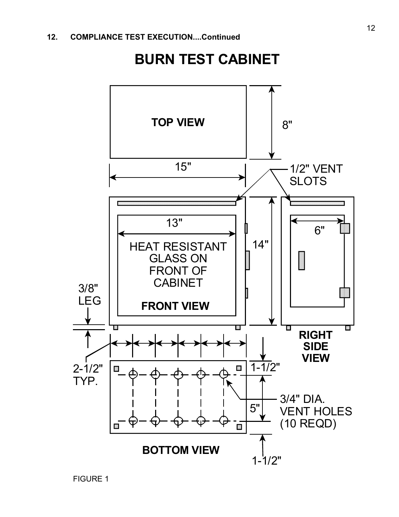# **BURN TEST CABINET**

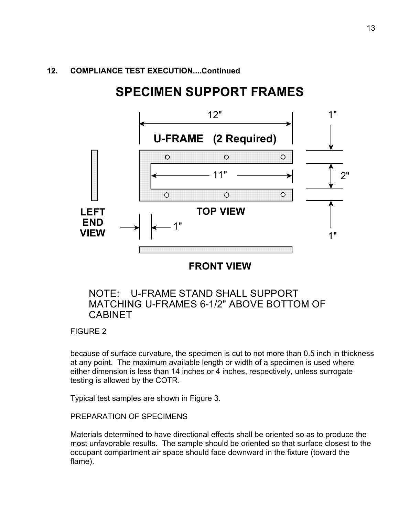#### **12. COMPLIANCE TEST EXECUTION....Continued**

# **SPECIMEN SUPPORT FRAMES**



**FRONT VIEW**

# NOTE: U-FRAME STAND SHALL SUPPORT MATCHING U-FRAMES 6-1/2" ABOVE BOTTOM OF CABINET

FIGURE 2

because of surface curvature, the specimen is cut to not more than 0.5 inch in thickness at any point. The maximum available length or width of a specimen is used where either dimension is less than 14 inches or 4 inches, respectively, unless surrogate testing is allowed by the COTR.

Typical test samples are shown in Figure 3.

PREPARATION OF SPECIMENS

Materials determined to have directional effects shall be oriented so as to produce the most unfavorable results. The sample should be oriented so that surface closest to the occupant compartment air space should face downward in the fixture (toward the flame).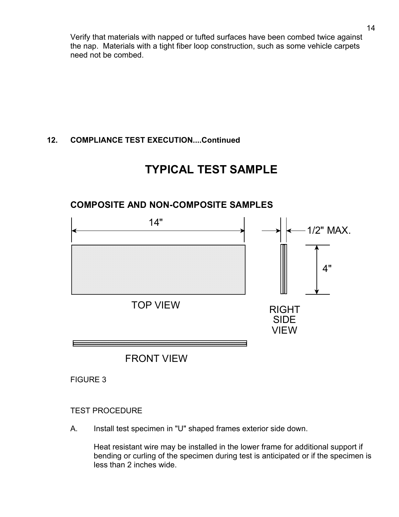Verify that materials with napped or tufted surfaces have been combed twice against the nap. Materials with a tight fiber loop construction, such as some vehicle carpets need not be combed.

# **12. COMPLIANCE TEST EXECUTION....Continued**

# **TYPICAL TEST SAMPLE**

# FRONT VIEW RIGHT SIDE VIEW  $\left|\left| \begin{array}{c} 14^{\circ} \\ \hline \end{array} \right|\right| \left| \begin{array}{c} 1/2^{\circ} \\ \hline \end{array} \right|$  MAX. 4" TOP VIEW

# **COMPOSITE AND NON-COMPOSITE SAMPLES**

FIGURE 3

## TEST PROCEDURE

A. Install test specimen in "U" shaped frames exterior side down.

Heat resistant wire may be installed in the lower frame for additional support if bending or curling of the specimen during test is anticipated or if the specimen is less than 2 inches wide.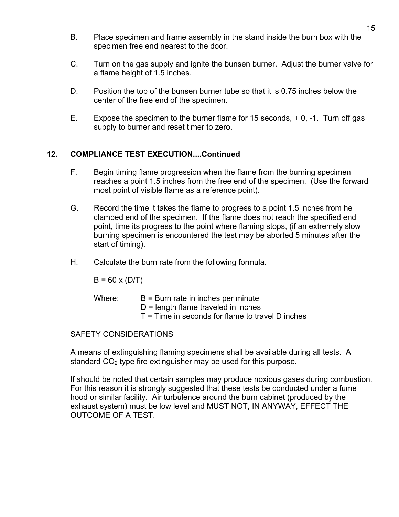- B. Place specimen and frame assembly in the stand inside the burn box with the specimen free end nearest to the door.
- C. Turn on the gas supply and ignite the bunsen burner. Adjust the burner valve for a flame height of 1.5 inches.
- D. Position the top of the bunsen burner tube so that it is 0.75 inches below the center of the free end of the specimen.
- E. Expose the specimen to the burner flame for 15 seconds, + 0, -1. Turn off gas supply to burner and reset timer to zero.

## **12. COMPLIANCE TEST EXECUTION....Continued**

- F. Begin timing flame progression when the flame from the burning specimen reaches a point 1.5 inches from the free end of the specimen. (Use the forward most point of visible flame as a reference point).
- G. Record the time it takes the flame to progress to a point 1.5 inches from he clamped end of the specimen. If the flame does not reach the specified end point, time its progress to the point where flaming stops, (if an extremely slow burning specimen is encountered the test may be aborted 5 minutes after the start of timing).
- H. Calculate the burn rate from the following formula.

 $B = 60 \times (D/T)$ 

| Where: | $B =$ Burn rate in inches per minute               |
|--------|----------------------------------------------------|
|        | $D =$ length flame traveled in inches              |
|        | $T =$ Time in seconds for flame to travel D inches |

SAFETY CONSIDERATIONS

A means of extinguishing flaming specimens shall be available during all tests. A standard  $CO<sub>2</sub>$  type fire extinguisher may be used for this purpose.

If should be noted that certain samples may produce noxious gases during combustion. For this reason it is strongly suggested that these tests be conducted under a fume hood or similar facility. Air turbulence around the burn cabinet (produced by the exhaust system) must be low level and MUST NOT, IN ANYWAY, EFFECT THE OUTCOME OF A TEST.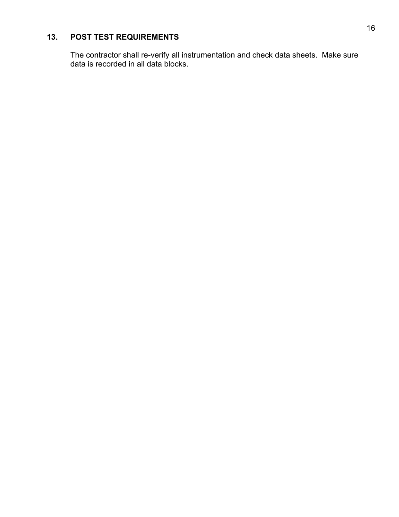# **13. POST TEST REQUIREMENTS**

The contractor shall re-verify all instrumentation and check data sheets. Make sure data is recorded in all data blocks.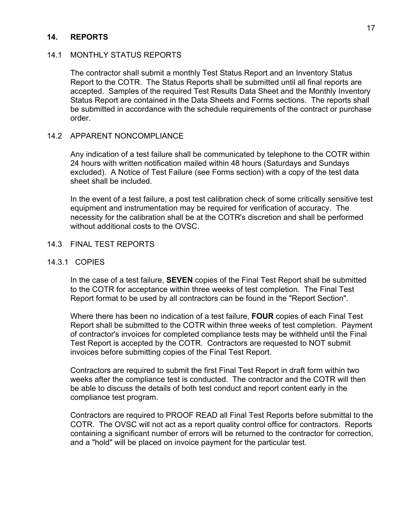#### **14. REPORTS**

#### 14.1 MONTHLY STATUS REPORTS

The contractor shall submit a monthly Test Status Report and an Inventory Status Report to the COTR. The Status Reports shall be submitted until all final reports are accepted. Samples of the required Test Results Data Sheet and the Monthly Inventory Status Report are contained in the Data Sheets and Forms sections. The reports shall be submitted in accordance with the schedule requirements of the contract or purchase order.

#### 14.2 APPARENT NONCOMPLIANCE

Any indication of a test failure shall be communicated by telephone to the COTR within 24 hours with written notification mailed within 48 hours (Saturdays and Sundays excluded). A Notice of Test Failure (see Forms section) with a copy of the test data sheet shall be included.

In the event of a test failure, a post test calibration check of some critically sensitive test equipment and instrumentation may be required for verification of accuracy. The necessity for the calibration shall be at the COTR's discretion and shall be performed without additional costs to the OVSC.

#### 14.3 FINAL TEST REPORTS

#### 14.3.1 COPIES

In the case of a test failure, **SEVEN** copies of the Final Test Report shall be submitted to the COTR for acceptance within three weeks of test completion. The Final Test Report format to be used by all contractors can be found in the "Report Section".

Where there has been no indication of a test failure, **FOUR** copies of each Final Test Report shall be submitted to the COTR within three weeks of test completion. Payment of contractor's invoices for completed compliance tests may be withheld until the Final Test Report is accepted by the COTR. Contractors are requested to NOT submit invoices before submitting copies of the Final Test Report.

Contractors are required to submit the first Final Test Report in draft form within two weeks after the compliance test is conducted. The contractor and the COTR will then be able to discuss the details of both test conduct and report content early in the compliance test program.

Contractors are required to PROOF READ all Final Test Reports before submittal to the COTR. The OVSC will not act as a report quality control office for contractors. Reports containing a significant number of errors will be returned to the contractor for correction, and a "hold" will be placed on invoice payment for the particular test.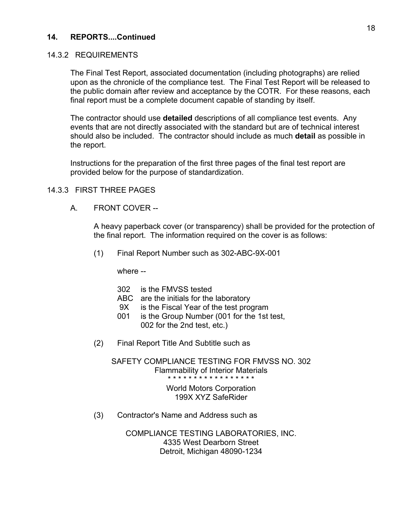#### 14.3.2 REQUIREMENTS

The Final Test Report, associated documentation (including photographs) are relied upon as the chronicle of the compliance test. The Final Test Report will be released to the public domain after review and acceptance by the COTR. For these reasons, each final report must be a complete document capable of standing by itself.

The contractor should use **detailed** descriptions of all compliance test events. Any events that are not directly associated with the standard but are of technical interest should also be included. The contractor should include as much **detail** as possible in the report.

Instructions for the preparation of the first three pages of the final test report are provided below for the purpose of standardization.

#### 14.3.3 FIRST THREE PAGES

A. FRONT COVER --

 A heavy paperback cover (or transparency) shall be provided for the protection of the final report. The information required on the cover is as follows:

(1) Final Report Number such as 302-ABC-9X-001

where --

|     | 9X.<br>001 | 302 is the FMVSS tested<br>ABC are the initials for the laboratory<br>is the Fiscal Year of the test program<br>is the Group Number (001 for the 1st test,<br>002 for the 2nd test, etc.) |
|-----|------------|-------------------------------------------------------------------------------------------------------------------------------------------------------------------------------------------|
| (2) |            | Final Report Title And Subtitle such as                                                                                                                                                   |

SAFETY COMPLIANCE TESTING FOR FMVSS NO. 302 Flammability of Interior Materials \* \* \* \* \* \* \* \* \* \* \* \* \* \* \* \* \*

> World Motors Corporation 199X XYZ SafeRider

(3) Contractor's Name and Address such as

COMPLIANCE TESTING LABORATORIES, INC. 4335 West Dearborn Street Detroit, Michigan 48090-1234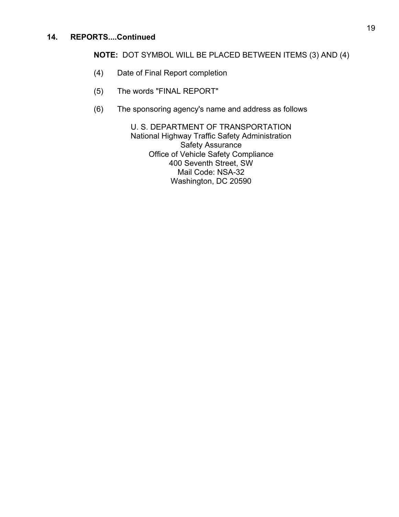## **NOTE:** DOT SYMBOL WILL BE PLACED BETWEEN ITEMS (3) AND (4)

- (4) Date of Final Report completion
- (5) The words "FINAL REPORT"
- (6) The sponsoring agency's name and address as follows

U. S. DEPARTMENT OF TRANSPORTATION National Highway Traffic Safety Administration Safety Assurance Office of Vehicle Safety Compliance 400 Seventh Street, SW Mail Code: NSA-32 Washington, DC 20590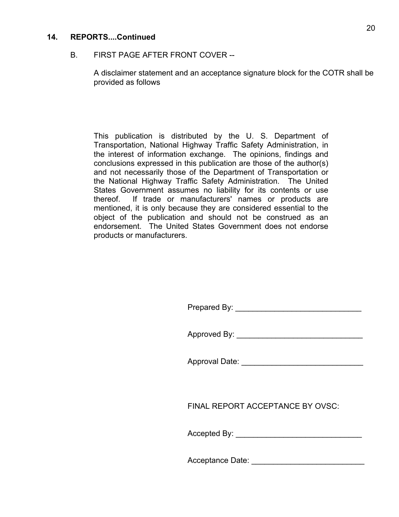#### B. FIRST PAGE AFTER FRONT COVER --

 A disclaimer statement and an acceptance signature block for the COTR shall be provided as follows

This publication is distributed by the U. S. Department of Transportation, National Highway Traffic Safety Administration, in the interest of information exchange. The opinions, findings and conclusions expressed in this publication are those of the author(s) and not necessarily those of the Department of Transportation or the National Highway Traffic Safety Administration. The United States Government assumes no liability for its contents or use thereof. If trade or manufacturers' names or products are mentioned, it is only because they are considered essential to the object of the publication and should not be construed as an endorsement. The United States Government does not endorse products or manufacturers.

| Prepared By: |  |
|--------------|--|
|              |  |
|              |  |

Approved By:

Approval Date: \_\_\_\_\_\_\_\_\_\_\_\_\_\_\_\_\_\_\_\_\_\_\_\_\_\_\_\_

FINAL REPORT ACCEPTANCE BY OVSC:

Accepted By: \_\_\_\_\_\_\_\_\_\_\_\_\_\_\_\_\_\_\_\_\_\_\_\_\_\_\_\_\_

Acceptance Date:  $\Box$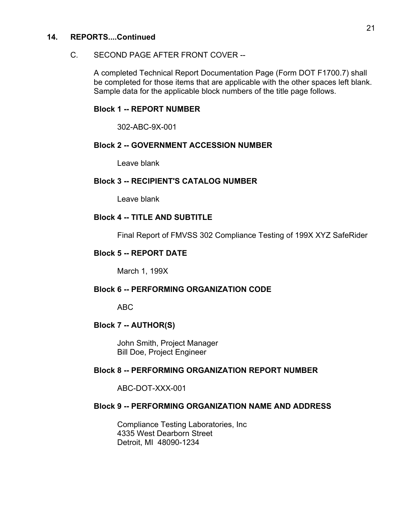#### C. SECOND PAGE AFTER FRONT COVER --

 A completed Technical Report Documentation Page (Form DOT F1700.7) shall be completed for those items that are applicable with the other spaces left blank. Sample data for the applicable block numbers of the title page follows.

#### **Block 1 -- REPORT NUMBER**

302-ABC-9X-001

#### **Block 2 -- GOVERNMENT ACCESSION NUMBER**

Leave blank

#### **Block 3 -- RECIPIENT'S CATALOG NUMBER**

Leave blank

#### **Block 4 -- TITLE AND SUBTITLE**

Final Report of FMVSS 302 Compliance Testing of 199X XYZ SafeRider

#### **Block 5 -- REPORT DATE**

March 1, 199X

#### **Block 6 -- PERFORMING ORGANIZATION CODE**

ABC

#### **Block 7 -- AUTHOR(S)**

 John Smith, Project Manager Bill Doe, Project Engineer

#### **Block 8 -- PERFORMING ORGANIZATION REPORT NUMBER**

ABC-DOT-XXX-001

#### **Block 9 -- PERFORMING ORGANIZATION NAME AND ADDRESS**

 Compliance Testing Laboratories, Inc 4335 West Dearborn Street Detroit, MI 48090-1234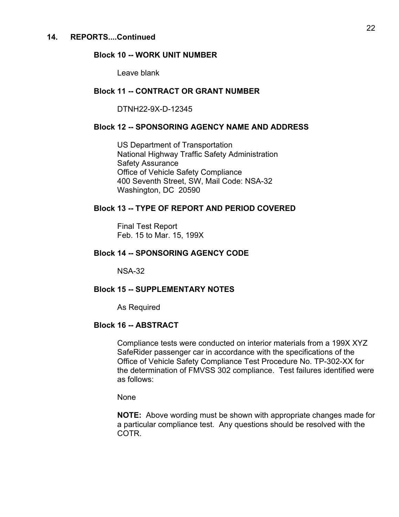#### **Block 10 -- WORK UNIT NUMBER**

Leave blank

#### **Block 11 -- CONTRACT OR GRANT NUMBER**

DTNH22-9X-D-12345

#### **Block 12 -- SPONSORING AGENCY NAME AND ADDRESS**

 US Department of Transportation National Highway Traffic Safety Administration Safety Assurance Office of Vehicle Safety Compliance 400 Seventh Street, SW, Mail Code: NSA-32 Washington, DC 20590

#### **Block 13 -- TYPE OF REPORT AND PERIOD COVERED**

 Final Test Report Feb. 15 to Mar. 15, 199X

#### **Block 14 -- SPONSORING AGENCY CODE**

NSA-32

#### **Block 15 -- SUPPLEMENTARY NOTES**

As Required

#### **Block 16 -- ABSTRACT**

 Compliance tests were conducted on interior materials from a 199X XYZ SafeRider passenger car in accordance with the specifications of the Office of Vehicle Safety Compliance Test Procedure No. TP-302-XX for the determination of FMVSS 302 compliance. Test failures identified were as follows:

None

 **NOTE:** Above wording must be shown with appropriate changes made for a particular compliance test. Any questions should be resolved with the COTR.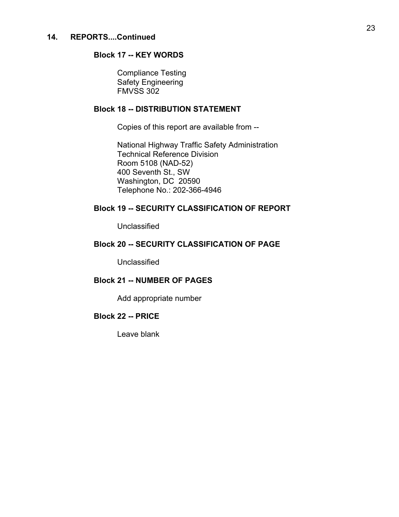#### **Block 17 -- KEY WORDS**

 Compliance Testing Safety Engineering FMVSS 302

#### **Block 18 -- DISTRIBUTION STATEMENT**

Copies of this report are available from --

 National Highway Traffic Safety Administration Technical Reference Division Room 5108 (NAD-52) 400 Seventh St., SW Washington, DC 20590 Telephone No.: 202-366-4946

#### **Block 19 -- SECURITY CLASSIFICATION OF REPORT**

Unclassified

#### **Block 20 -- SECURITY CLASSIFICATION OF PAGE**

Unclassified

### **Block 21 -- NUMBER OF PAGES**

Add appropriate number

#### **Block 22 -- PRICE**

Leave blank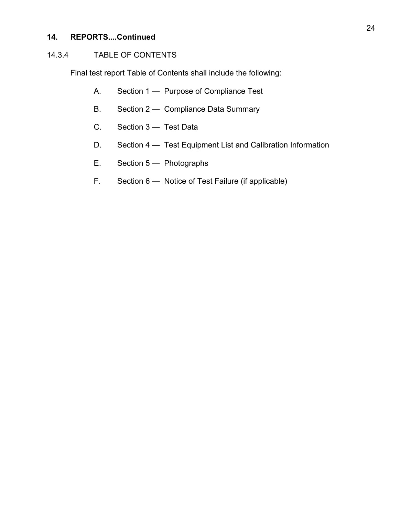# 14.3.4 TABLE OF CONTENTS

Final test report Table of Contents shall include the following:

- A. Section 1 Purpose of Compliance Test
- B. Section 2 Compliance Data Summary
- C. Section 3 Test Data
- D. Section 4 Test Equipment List and Calibration Information
- E. Section 5 Photographs
- F. Section 6 Notice of Test Failure (if applicable)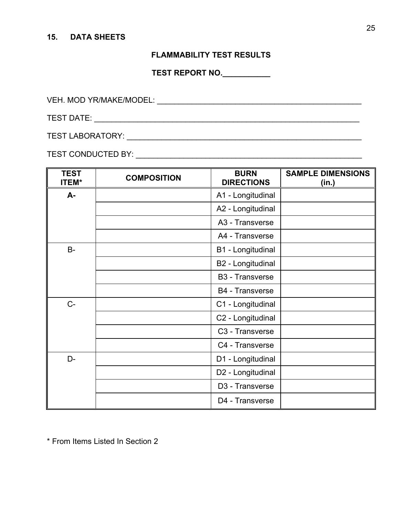#### **15. DATA SHEETS**

# **FLAMMABILITY TEST RESULTS**

**TEST REPORT NO.\_\_\_\_\_\_\_\_\_\_\_** 

VEH. MOD YR/MAKE/MODEL: WAS ARRESTED FOR A 2000 FOR A 2000 FOR A 2000 FOR A 2000 FOR A 2000 FOR A 2000 FOR A 2000 FOR A 2000 FOR A 2000 FOR A 2000 FOR A 2000 FOR A 2000 FOR A 2000 FOR A 2000 FOR A 2000 FOR A 2000 FOR A 200

TEST DATE: \_\_\_\_\_\_\_\_\_\_\_\_\_\_\_\_\_\_\_\_\_\_\_\_\_\_\_\_\_\_\_\_\_\_\_\_\_\_\_\_\_\_\_\_\_\_\_\_\_\_\_\_\_\_\_\_\_\_\_\_\_

TEST LABORATORY: \_\_\_\_\_\_\_\_\_\_\_\_\_\_\_\_\_\_\_\_\_\_\_\_\_\_\_\_\_\_\_\_\_\_\_\_\_\_\_\_\_\_\_\_\_\_\_\_\_\_\_\_\_\_

TEST CONDUCTED BY: \_\_\_\_\_\_\_\_\_\_\_\_\_\_\_\_\_\_\_\_\_\_\_\_\_\_\_\_\_\_\_\_\_\_\_\_\_\_\_\_\_\_\_\_\_\_\_\_\_\_\_\_

| <b>TEST</b><br><b>ITEM*</b> | <b>COMPOSITION</b> | <b>BURN</b><br><b>DIRECTIONS</b> | <b>SAMPLE DIMENSIONS</b><br>(in.) |
|-----------------------------|--------------------|----------------------------------|-----------------------------------|
| A-                          |                    | A1 - Longitudinal                |                                   |
|                             |                    | A2 - Longitudinal                |                                   |
|                             |                    | A3 - Transverse                  |                                   |
|                             |                    | A4 - Transverse                  |                                   |
| $B -$                       |                    | B1 - Longitudinal                |                                   |
|                             |                    | B2 - Longitudinal                |                                   |
|                             |                    | <b>B3</b> - Transverse           |                                   |
|                             |                    | <b>B4</b> - Transverse           |                                   |
| $C-$                        |                    | C1 - Longitudinal                |                                   |
|                             |                    | C2 - Longitudinal                |                                   |
|                             |                    | C <sub>3</sub> - Transverse      |                                   |
|                             |                    | C4 - Transverse                  |                                   |
| D-                          |                    | D1 - Longitudinal                |                                   |
|                             |                    | D2 - Longitudinal                |                                   |
|                             |                    | D3 - Transverse                  |                                   |
|                             |                    | D4 - Transverse                  |                                   |

\* From Items Listed In Section 2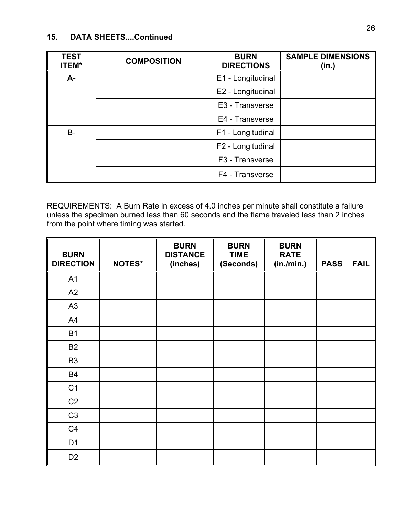## **15. DATA SHEETS....Continued**

| <b>TEST</b><br><b>ITEM*</b> | <b>COMPOSITION</b> | <b>BURN</b><br><b>DIRECTIONS</b> | <b>SAMPLE DIMENSIONS</b><br>(in.) |
|-----------------------------|--------------------|----------------------------------|-----------------------------------|
| $A -$                       |                    | E1 - Longitudinal                |                                   |
|                             |                    | E2 - Longitudinal                |                                   |
|                             |                    | E3 - Transverse                  |                                   |
|                             |                    | E4 - Transverse                  |                                   |
| $B -$                       |                    | F1 - Longitudinal                |                                   |
|                             |                    | F2 - Longitudinal                |                                   |
|                             |                    | F <sub>3</sub> - Transverse      |                                   |
|                             |                    | F4 - Transverse                  |                                   |

REQUIREMENTS: A Burn Rate in excess of 4.0 inches per minute shall constitute a failure unless the specimen burned less than 60 seconds and the flame traveled less than 2 inches from the point where timing was started.

| <b>BURN</b><br><b>DIRECTION</b> | <b>NOTES*</b> | <b>BURN</b><br><b>DISTANCE</b><br>(inches) | <b>BURN</b><br><b>TIME</b><br>(Seconds) | <b>BURN</b><br><b>RATE</b><br>(in./min.) | <b>PASS</b> | <b>FAIL</b> |
|---------------------------------|---------------|--------------------------------------------|-----------------------------------------|------------------------------------------|-------------|-------------|
| A1                              |               |                                            |                                         |                                          |             |             |
| A2                              |               |                                            |                                         |                                          |             |             |
| A <sub>3</sub>                  |               |                                            |                                         |                                          |             |             |
| A4                              |               |                                            |                                         |                                          |             |             |
| <b>B1</b>                       |               |                                            |                                         |                                          |             |             |
| <b>B2</b>                       |               |                                            |                                         |                                          |             |             |
| B <sub>3</sub>                  |               |                                            |                                         |                                          |             |             |
| <b>B4</b>                       |               |                                            |                                         |                                          |             |             |
| C <sub>1</sub>                  |               |                                            |                                         |                                          |             |             |
| C <sub>2</sub>                  |               |                                            |                                         |                                          |             |             |
| C <sub>3</sub>                  |               |                                            |                                         |                                          |             |             |
| C <sub>4</sub>                  |               |                                            |                                         |                                          |             |             |
| D <sub>1</sub>                  |               |                                            |                                         |                                          |             |             |
| D <sub>2</sub>                  |               |                                            |                                         |                                          |             |             |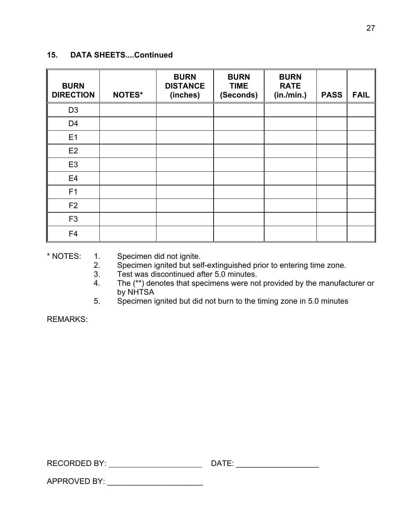## **15. DATA SHEETS....Continued**

| <b>BURN</b><br><b>DIRECTION</b> | <b>NOTES*</b> | <b>BURN</b><br><b>DISTANCE</b><br>(inches) | <b>BURN</b><br><b>TIME</b><br>(Seconds) | <b>BURN</b><br><b>RATE</b><br>(in./min.) | <b>PASS</b> | <b>FAIL</b> |
|---------------------------------|---------------|--------------------------------------------|-----------------------------------------|------------------------------------------|-------------|-------------|
| D <sub>3</sub>                  |               |                                            |                                         |                                          |             |             |
| D <sub>4</sub>                  |               |                                            |                                         |                                          |             |             |
| E1                              |               |                                            |                                         |                                          |             |             |
| E <sub>2</sub>                  |               |                                            |                                         |                                          |             |             |
| E <sub>3</sub>                  |               |                                            |                                         |                                          |             |             |
| E <sub>4</sub>                  |               |                                            |                                         |                                          |             |             |
| F <sub>1</sub>                  |               |                                            |                                         |                                          |             |             |
| F <sub>2</sub>                  |               |                                            |                                         |                                          |             |             |
| F <sub>3</sub>                  |               |                                            |                                         |                                          |             |             |
| F <sub>4</sub>                  |               |                                            |                                         |                                          |             |             |

\* NOTES: 1. Specimen did not ignite.

APPROVED BY: \_\_\_\_\_\_\_\_\_\_\_\_\_\_\_\_\_\_\_\_\_\_

- 2. Specimen ignited but self-extinguished prior to entering time zone.
- 3. Test was discontinued after 5.0 minutes.
- 4. The (\*\*) denotes that specimens were not provided by the manufacturer or by NHTSA
- 5. Specimen ignited but did not burn to the timing zone in 5.0 minutes

REMARKS:

| <b>RECORDED BY:</b> | ۱Λ |  |
|---------------------|----|--|
|                     |    |  |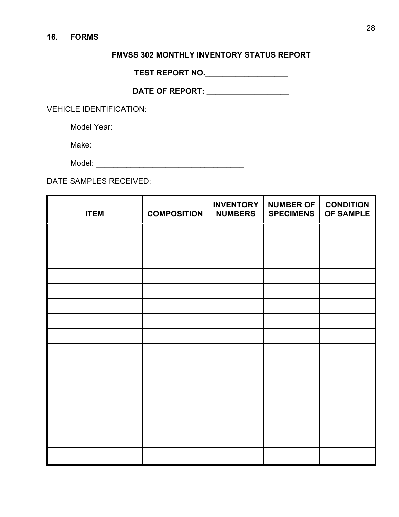# **FMVSS 302 MONTHLY INVENTORY STATUS REPORT**

**TEST REPORT NO.\_\_\_\_\_\_\_\_\_\_\_\_\_\_\_\_\_\_\_** 

**DATE OF REPORT: \_\_\_\_\_\_\_\_\_\_\_\_\_\_\_\_\_\_\_** 

VEHICLE IDENTIFICATION:

Model Year: \_\_\_\_\_\_\_\_\_\_\_\_\_\_\_\_\_\_\_\_\_\_\_\_\_\_\_\_\_

Make: \_\_\_\_\_\_\_\_\_\_\_\_\_\_\_\_\_\_\_\_\_\_\_\_\_\_\_\_\_\_\_\_\_\_

Model: \_\_\_\_\_\_\_\_\_\_\_\_\_\_\_\_\_\_\_\_\_\_\_\_\_\_\_\_\_\_\_\_\_\_

DATE SAMPLES RECEIVED: \_\_\_\_\_\_\_\_\_\_\_\_\_\_\_\_\_\_\_\_\_\_\_\_\_\_\_\_\_\_\_\_\_\_\_\_\_\_\_\_\_\_

| <b>ITEM</b> | <b>COMPOSITION</b> | <b>INVENTORY</b><br><b>NUMBERS</b> | <b>NUMBER OF</b><br><b>SPECIMENS</b> | <b>CONDITION</b><br>OF SAMPLE |
|-------------|--------------------|------------------------------------|--------------------------------------|-------------------------------|
|             |                    |                                    |                                      |                               |
|             |                    |                                    |                                      |                               |
|             |                    |                                    |                                      |                               |
|             |                    |                                    |                                      |                               |
|             |                    |                                    |                                      |                               |
|             |                    |                                    |                                      |                               |
|             |                    |                                    |                                      |                               |
|             |                    |                                    |                                      |                               |
|             |                    |                                    |                                      |                               |
|             |                    |                                    |                                      |                               |
|             |                    |                                    |                                      |                               |
|             |                    |                                    |                                      |                               |
|             |                    |                                    |                                      |                               |
|             |                    |                                    |                                      |                               |
|             |                    |                                    |                                      |                               |
|             |                    |                                    |                                      |                               |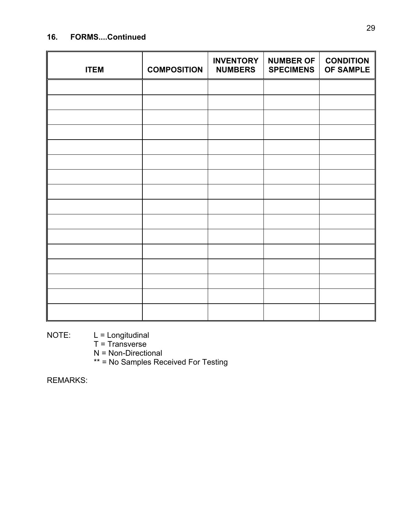# **16. FORMS....Continued**

| <b>ITEM</b> | <b>COMPOSITION</b> | <b>INVENTORY</b><br><b>NUMBERS</b> | <b>NUMBER OF</b><br><b>SPECIMENS</b> | <b>CONDITION</b><br><b>OF SAMPLE</b> |
|-------------|--------------------|------------------------------------|--------------------------------------|--------------------------------------|
|             |                    |                                    |                                      |                                      |
|             |                    |                                    |                                      |                                      |
|             |                    |                                    |                                      |                                      |
|             |                    |                                    |                                      |                                      |
|             |                    |                                    |                                      |                                      |
|             |                    |                                    |                                      |                                      |
|             |                    |                                    |                                      |                                      |
|             |                    |                                    |                                      |                                      |
|             |                    |                                    |                                      |                                      |
|             |                    |                                    |                                      |                                      |
|             |                    |                                    |                                      |                                      |
|             |                    |                                    |                                      |                                      |
|             |                    |                                    |                                      |                                      |
|             |                    |                                    |                                      |                                      |
|             |                    |                                    |                                      |                                      |
|             |                    |                                    |                                      |                                      |

NOTE: L = Longitudinal

- T = Transverse
- N = Non-Directional
- \*\* = No Samples Received For Testing

REMARKS: